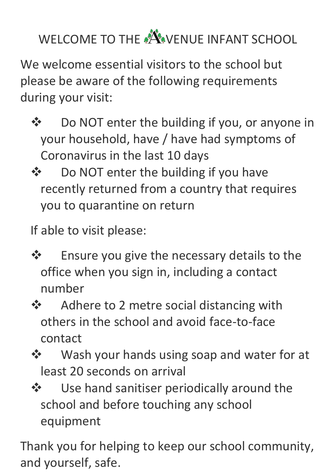WELCOME TO THE A VENUE INFANT SCHOOL

We welcome essential visitors to the school but please be aware of the following requirements during your visit:

- Do NOT enter the building if you, or anyone in your household, have / have had symptoms of Coronavirus in the last 10 days
- ❖ Do NOT enter the building if you have recently returned from a country that requires you to quarantine on return

If able to visit please:

- $\triangle$  Ensure you give the necessary details to the office when you sign in, including a contact number
- **❖** Adhere to 2 metre social distancing with others in the school and avoid face-to-face contact
- ❖ Wash your hands using soap and water for at least 20 seconds on arrival
- $\lozenge$  Use hand sanitiser periodically around the school and before touching any school equipment

Thank you for helping to keep our school community, and yourself, safe.